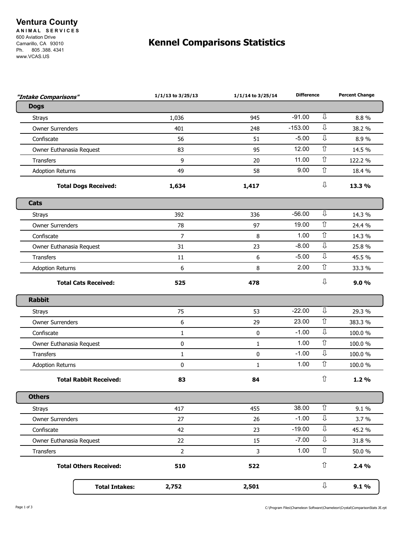## **Ventura County**

**A N I M A L S E R V I C E S**  600 Aviation Drive Camarillo, CA 93010 Ph. 805 .388. 4341 www.VCAS.US

## **Kennel Comparisons Statistics**

| "Intake Comparisons"          | 1/1/13 to 3/25/13 | 1/1/14 to 3/25/14 | <b>Difference</b> |                         | <b>Percent Change</b> |
|-------------------------------|-------------------|-------------------|-------------------|-------------------------|-----------------------|
| <b>Dogs</b>                   |                   |                   |                   |                         |                       |
| <b>Strays</b>                 | 1,036             | 945               | $-91.00$          | ⇩                       | 8.8%                  |
| <b>Owner Surrenders</b>       | 401               | 248               | $-153.00$         | $\overline{\mathbb{J}}$ | 38.2 %                |
| Confiscate                    | 56                | 51                | $-5.00$           | ⇩                       | 8.9%                  |
| Owner Euthanasia Request      | 83                | 95                | 12.00             | $\hat{\mathbb{U}}$      | 14.5 %                |
| Transfers                     | 9                 | 20                | 11.00             | $\hat{\mathbb{I}}$      | 122.2 %               |
| <b>Adoption Returns</b>       | 49                | 58                | 9.00              | ⇧                       | 18.4 %                |
| <b>Total Dogs Received:</b>   | 1,634             | 1,417             |                   | $\mathbb U$             | 13.3 %                |
| Cats                          |                   |                   |                   |                         |                       |
| <b>Strays</b>                 | 392               | 336               | $-56.00$          | ⇩                       | 14.3 %                |
| <b>Owner Surrenders</b>       | 78                | 97                | 19.00             | $\hat{\mathbb{I}}$      | 24.4 %                |
| Confiscate                    | $\overline{7}$    | 8                 | 1.00              | $\hat{\mathbb{I}}$      | 14.3 %                |
| Owner Euthanasia Request      | 31                | 23                | $-8.00$           | $\mathbb U$             | 25.8 %                |
| Transfers                     | 11                | 6                 | $-5.00$           | $\mathbb{J}$            | 45.5 %                |
| <b>Adoption Returns</b>       | 6                 | 8                 | 2.00              | $\hat{u}$               | 33.3 %                |
| <b>Total Cats Received:</b>   | 525               | 478               |                   | ⇩                       | 9.0%                  |
| <b>Rabbit</b>                 |                   |                   |                   |                         |                       |
| <b>Strays</b>                 | 75                | 53                | $-22.00$          | $\overline{\mathbb{Q}}$ | 29.3 %                |
| <b>Owner Surrenders</b>       | 6                 | 29                | 23.00             | ⇧                       | 383.3 %               |
| Confiscate                    | $\mathbf{1}$      | 0                 | $-1.00$           | $\overline{\mathbb{U}}$ | 100.0%                |
| Owner Euthanasia Request      | $\mathbf 0$       | $\mathbf{1}$      | 1.00              | $\hat{\mathbb{I}}$      | 100.0%                |
| <b>Transfers</b>              | $\mathbf{1}$      | 0                 | $-1.00$           | ⇩                       | 100.0%                |
| <b>Adoption Returns</b>       | $\mathbf 0$       | $\mathbf{1}$      | 1.00              | $\hat{\mathbb{I}}$      | 100.0%                |
| <b>Total Rabbit Received:</b> | 83                | 84                |                   | ⇧                       | 1.2%                  |
| <b>Others</b>                 |                   |                   |                   |                         |                       |
| <b>Strays</b>                 | 417               | 455               | 38.00             | $\hat{\mathbb{U}}$      | 9.1%                  |
| <b>Owner Surrenders</b>       | 27                | 26                | $-1.00$           | ⇩                       | 3.7 %                 |
| Confiscate                    | 42                | 23                | $-19.00$          | ⇩                       | 45.2 %                |
| Owner Euthanasia Request      | 22                | 15                | $-7.00$           | ⇩                       | 31.8 %                |
| Transfers                     | $\overline{2}$    | 3                 | 1.00              | $\Upsilon$              | 50.0 %                |
| <b>Total Others Received:</b> | 510               | 522               |                   | $\hat{\mathbb{U}}$      | 2.4%                  |
| <b>Total Intakes:</b>         | 2,752             | 2,501             |                   | $\mathbb U$             | 9.1%                  |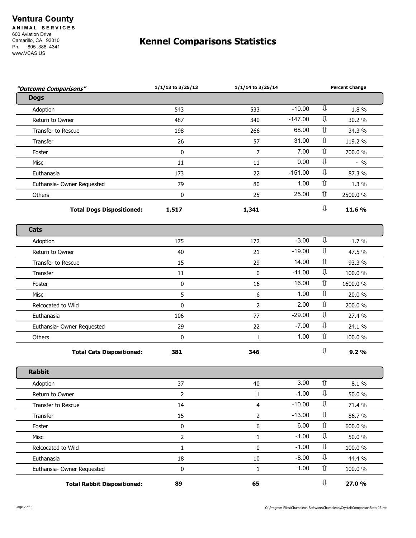## **Ventura County**

**A N I M A L S E R V I C E S**  600 Aviation Drive Camarillo, CA 93010 Ph. 805 .388. 4341 www.VCAS.US

## **Kennel Comparisons Statistics**

| "Outcome Comparisons"              | 1/1/13 to 3/25/13 | 1/1/14 to 3/25/14 | <b>Percent Change</b> |                    |         |
|------------------------------------|-------------------|-------------------|-----------------------|--------------------|---------|
| <b>Dogs</b>                        |                   |                   |                       |                    |         |
| Adoption                           | 543               | 533               | $-10.00$              | ⇩                  | 1.8 %   |
| Return to Owner                    | 487               | 340               | $-147.00$             | $\mathbb U$        | 30.2 %  |
| Transfer to Rescue                 | 198               | 266               | 68.00                 | ⇧                  | 34.3 %  |
| Transfer                           | 26                | 57                | 31.00                 | $\hat{\mathbb{U}}$ | 119.2 % |
| Foster                             | 0                 | $\overline{7}$    | 7.00                  | $\hat{\mathbb{U}}$ | 700.0 % |
| Misc                               | 11                | 11                | 0.00                  | $\mathbb{J}$       | $-9/0$  |
| Euthanasia                         | 173               | 22                | $-151.00$             | ⇩                  | 87.3 %  |
| Euthansia- Owner Requested         | 79                | 80                | 1.00                  | $\hat{\mathbb{I}}$ | 1.3 %   |
| Others                             | 0                 | 25                | 25.00                 | $\hat{\mathbb{U}}$ | 2500.0% |
| <b>Total Dogs Dispositioned:</b>   | 1,517             | 1,341             |                       | ⇩                  | 11.6 %  |
| Cats                               |                   |                   |                       |                    |         |
| Adoption                           | 175               | 172               | $-3.00$               | $\mathbb{Q}$       | 1.7%    |
| Return to Owner                    | 40                | 21                | $-19.00$              | $\mathbb U$        | 47.5 %  |
| Transfer to Rescue                 | 15                | 29                | 14.00                 | $\hat{\mathbb{U}}$ | 93.3 %  |
| Transfer                           | 11                | 0                 | $-11.00$              | ⇩                  | 100.0%  |
| Foster                             | $\mathbf 0$       | 16                | 16.00                 | $\hat{\mathbb{U}}$ | 1600.0% |
| Misc                               | 5                 | 6                 | 1.00                  | $\hat{\mathbb{U}}$ | 20.0 %  |
| Relcocated to Wild                 | $\mathbf 0$       | $\overline{2}$    | 2.00                  | $\Upsilon$         | 200.0%  |
| Euthanasia                         | 106               | 77                | $-29.00$              | ⇩                  | 27.4 %  |
| Euthansia- Owner Requested         | 29                | 22                | $-7.00$               | ⇩                  | 24.1 %  |
| Others                             | 0                 | $\mathbf{1}$      | 1.00                  | ⇧                  | 100.0%  |
| <b>Total Cats Dispositioned:</b>   | 381               | 346               |                       | ⇩                  | 9.2%    |
| <b>Rabbit</b>                      |                   |                   |                       |                    |         |
| Adoption                           | 37                | 40                | 3.00                  | $\hat{\mathbb{U}}$ | 8.1%    |
| Return to Owner                    | $\overline{2}$    | $\mathbf{1}$      | $-1.00$               | ⇩                  | 50.0 %  |
| Transfer to Rescue                 | 14                | $\overline{4}$    | $-10.00$              | ⇩                  | 71.4 %  |
| Transfer                           | 15                | $\overline{2}$    | $-13.00$              | $\mathbb U$        | 86.7%   |
| Foster                             | $\pmb{0}$         | 6                 | 6.00                  | $\Upsilon$         | 600.0%  |
| Misc                               | $\overline{2}$    | $\mathbf{1}$      | $-1.00$               | ⇩                  | 50.0 %  |
| Relcocated to Wild                 | $\mathbf{1}$      | 0                 | $-1.00$               | ⇩                  | 100.0%  |
| Euthanasia                         | 18                | $10\,$            | $-8.00$               | ⇩                  | 44.4 %  |
| Euthansia- Owner Requested         | $\pmb{0}$         | $\mathbf{1}$      | 1.00                  | $\hat{\mathbb{U}}$ | 100.0%  |
| <b>Total Rabbit Dispositioned:</b> | 89                | 65                |                       | ⇩                  | 27.0%   |